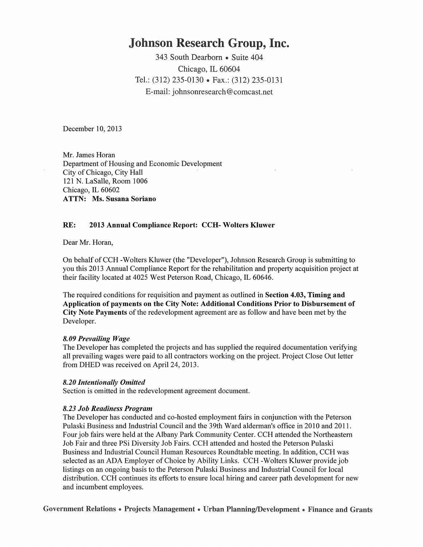# **Johnson Research Group, Inc.**

343 South Dearborn • Suite 404 Chicago, IL 60604 Tel.: (312) 235-0130 • Fax.: (312) 235-0131 E-mail: johnsonresearch@comcast.net

December 10,2013

Mr. James Horan Department of Housing and Economic Development City of Chicago, City Hall 121 N. LaSalle, Room 1006 Chicago, IL 60602 ATTN: Ms. Susana Soriano

## RE: 2013 Annual Compliance Report: CCH- Wolters Kluwer

Dear Mr. Horan,

On behalf of CCH -Wolters Kluwer (the "Developer"), Johnson Research Group is submitting to you this 2013 Annual Compliance Report for the rehabilitation and property acquisition project at their facility located at 4025 West Peterson Road, Chicago, IL 60646.

The required conditions for requisition and payment as outlined in Section 4.03, Timing and Application of payments on the City Note: Additional Conditions Prior to Disbursement of City Note Payments of the redevelopment agreement are as follow and have been met by the Developer.

#### *8.09 Prevailing Wage*

The Developer has completed the projects and has supplied the required documentation verifying all prevailing wages were paid to all contractors working on the project. Project Close Out letter from DHED was received on April 24, 2013.

#### *8.20 Intentionally Omitted*

Section is omitted in the redevelopment agreement document.

#### *8.23 Job Readiness Program*

The Developer has conducted and co-hosted employment fairs in conjunction with the Peterson Pulaski Business and Industrial Council and the 39th Ward alderman's office in 2010 and 2011. Four job fairs were held at the Albany Park Community Center. CCH attended the Northeastern Job Fair and three PSi Diversity Job Fairs. CCH attended and hosted the Peterson Pulaski Business and Industrial Council Human Resources Roundtable meeting. In addition, CCH was selected as an ADA Employer of Choice by Ability Links. CCH -Wolters Kluwer provide job listings on an ongoing basis to the Peterson Pulaski Business and Industrial Council for local distribution. CCH continues its efforts to ensure local hiring and career path development for new and incumbent employees.